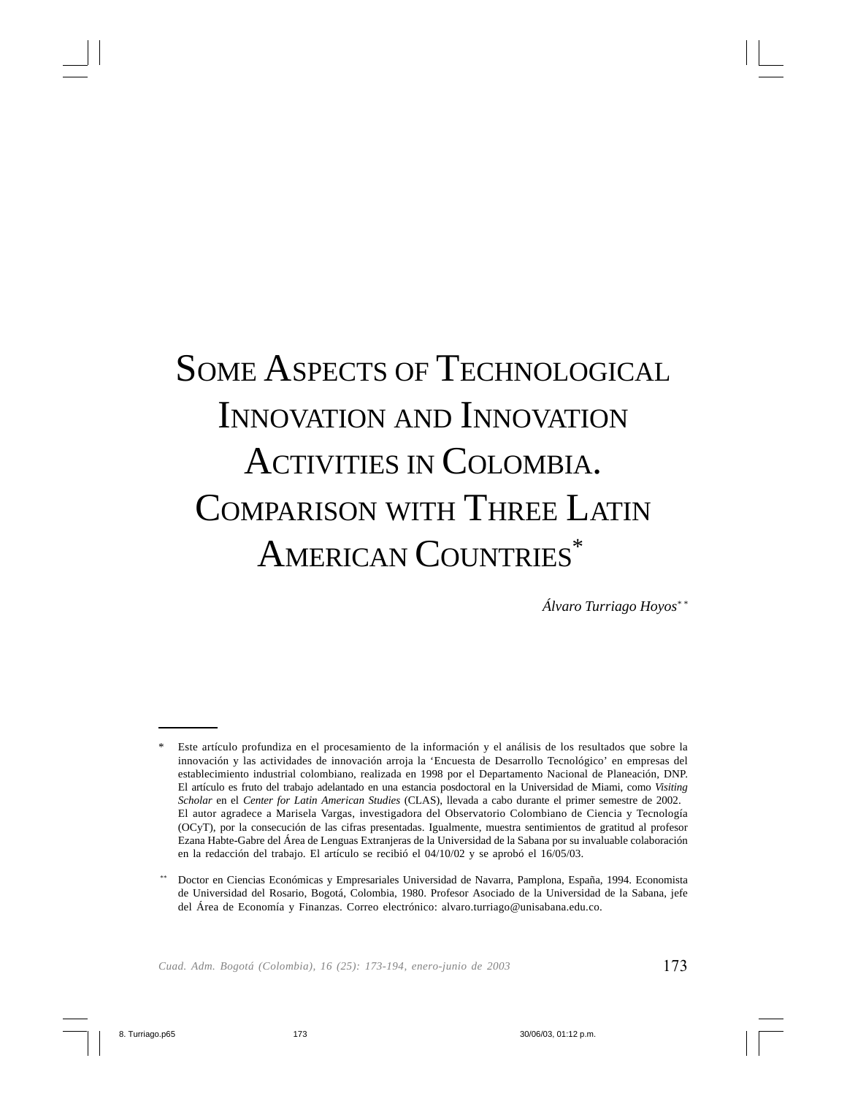# SOME ASPECTS OF TECHNOLOGICAL INNOVATION AND INNOVATION ACTIVITIES IN COLOMBIA. COMPARISON WITH THREE LATIN AMERICAN COUNTRIES<sup>\*</sup>

*Álvaro Turriago Hoyos\* \**

<sup>\*</sup> Este artículo profundiza en el procesamiento de la información y el análisis de los resultados que sobre la innovación y las actividades de innovación arroja la 'Encuesta de Desarrollo Tecnológico' en empresas del establecimiento industrial colombiano, realizada en 1998 por el Departamento Nacional de Planeación, DNP. El artículo es fruto del trabajo adelantado en una estancia posdoctoral en la Universidad de Miami, como *Visiting Scholar* en el *Center for Latin American Studies* (CLAS), llevada a cabo durante el primer semestre de 2002. El autor agradece a Marisela Vargas, investigadora del Observatorio Colombiano de Ciencia y Tecnología (OCyT), por la consecución de las cifras presentadas. Igualmente, muestra sentimientos de gratitud al profesor Ezana Habte-Gabre del Área de Lenguas Extranjeras de la Universidad de la Sabana por su invaluable colaboración en la redacción del trabajo. El artículo se recibió el 04/10/02 y se aprobó el 16/05/03.

<sup>\*\*</sup> Doctor en Ciencias Económicas y Empresariales Universidad de Navarra, Pamplona, España, 1994. Economista de Universidad del Rosario, Bogotá, Colombia, 1980. Profesor Asociado de la Universidad de la Sabana, jefe del Área de Economía y Finanzas. Correo electrónico: alvaro.turriago@unisabana.edu.co.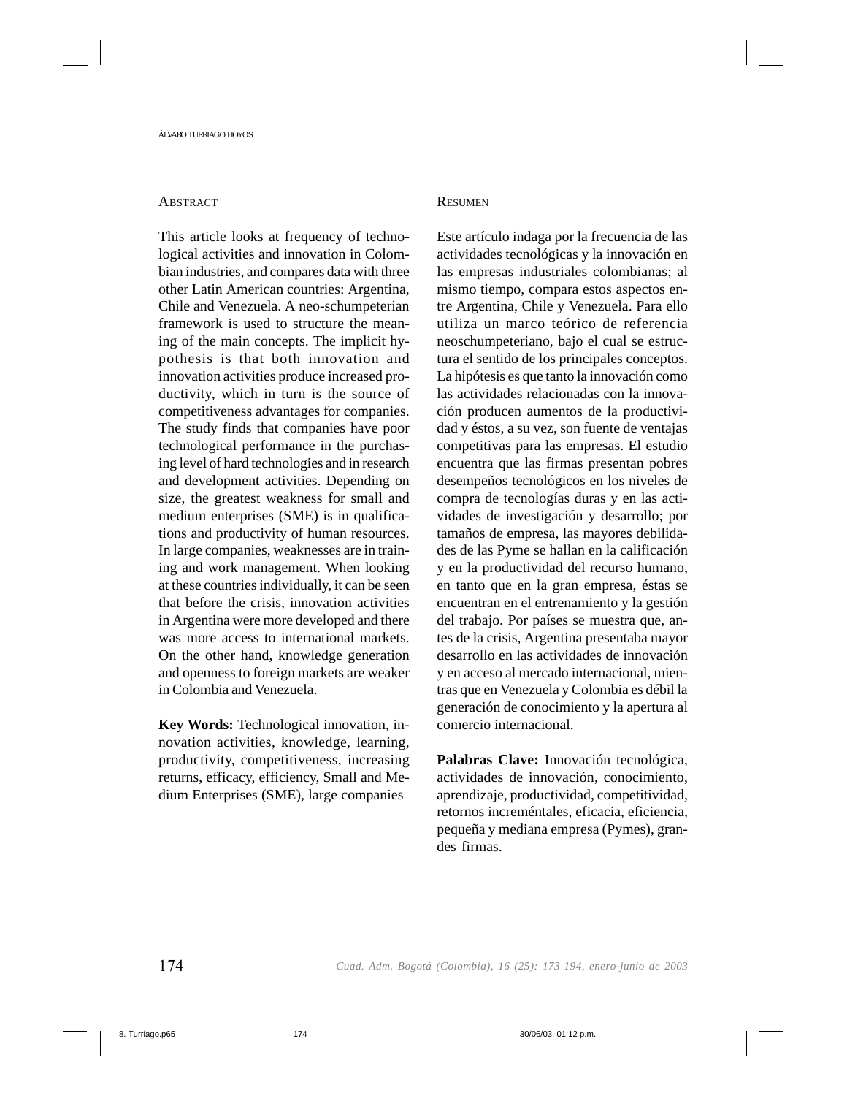#### **ABSTRACT**

This article looks at frequency of technological activities and innovation in Colombian industries, and compares data with three other Latin American countries: Argentina, Chile and Venezuela. A neo-schumpeterian framework is used to structure the meaning of the main concepts. The implicit hypothesis is that both innovation and innovation activities produce increased productivity, which in turn is the source of competitiveness advantages for companies. The study finds that companies have poor technological performance in the purchasing level of hard technologies and in research and development activities. Depending on size, the greatest weakness for small and medium enterprises (SME) is in qualifications and productivity of human resources. In large companies, weaknesses are in training and work management. When looking at these countries individually, it can be seen that before the crisis, innovation activities in Argentina were more developed and there was more access to international markets. On the other hand, knowledge generation and openness to foreign markets are weaker in Colombia and Venezuela.

**Key Words:** Technological innovation, innovation activities, knowledge, learning, productivity, competitiveness, increasing returns, efficacy, efficiency, Small and Medium Enterprises (SME), large companies

#### **RESUMEN**

Este artículo indaga por la frecuencia de las actividades tecnológicas y la innovación en las empresas industriales colombianas; al mismo tiempo, compara estos aspectos entre Argentina, Chile y Venezuela. Para ello utiliza un marco teórico de referencia neoschumpeteriano, bajo el cual se estructura el sentido de los principales conceptos. La hipótesis es que tanto la innovación como las actividades relacionadas con la innovación producen aumentos de la productividad y éstos, a su vez, son fuente de ventajas competitivas para las empresas. El estudio encuentra que las firmas presentan pobres desempeños tecnológicos en los niveles de compra de tecnologías duras y en las actividades de investigación y desarrollo; por tamaños de empresa, las mayores debilidades de las Pyme se hallan en la calificación y en la productividad del recurso humano, en tanto que en la gran empresa, éstas se encuentran en el entrenamiento y la gestión del trabajo. Por países se muestra que, antes de la crisis, Argentina presentaba mayor desarrollo en las actividades de innovación y en acceso al mercado internacional, mientras que en Venezuela y Colombia es débil la generación de conocimiento y la apertura al comercio internacional.

**Palabras Clave:** Innovación tecnológica, actividades de innovación, conocimiento, aprendizaje, productividad, competitividad, retornos increméntales, eficacia, eficiencia, pequeña y mediana empresa (Pymes), grandes firmas.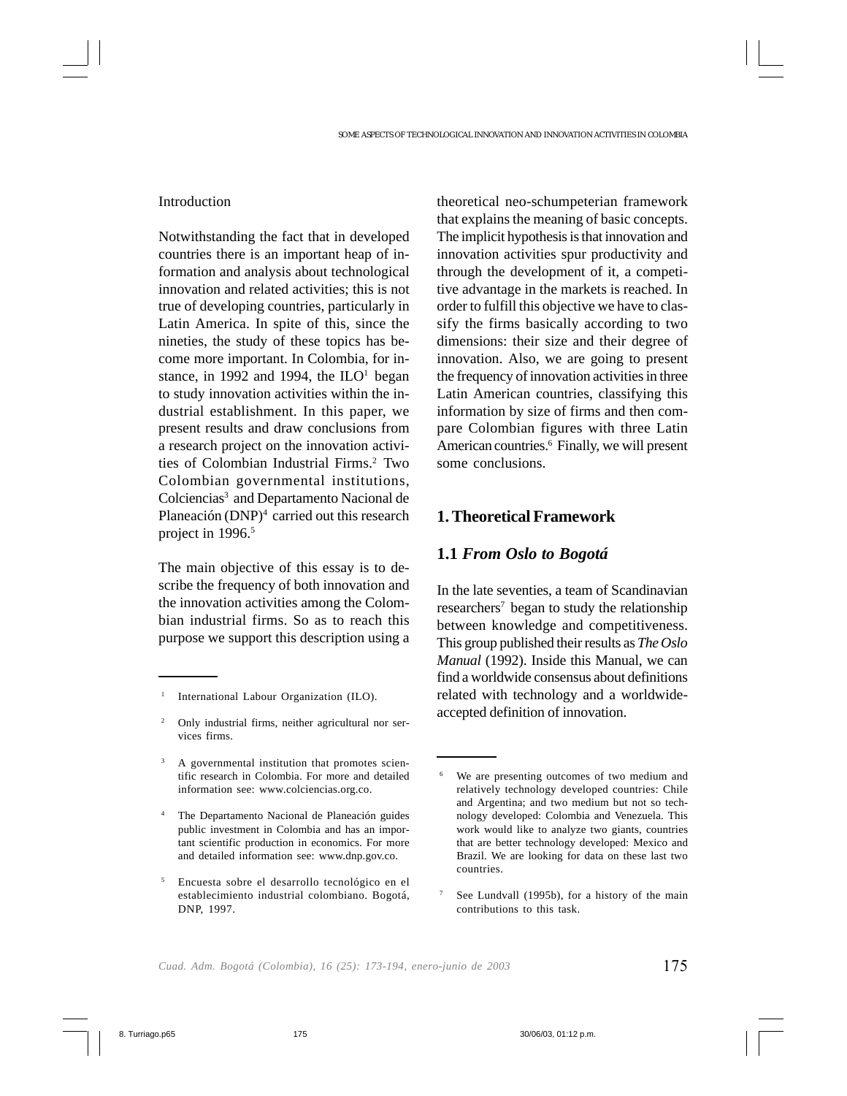### Introduction

Notwithstanding the fact that in developed countries there is an important heap of information and analysis about technological innovation and related activities; this is not true of developing countries, particularly in Latin America. In spite of this, since the nineties, the study of these topics has become more important. In Colombia, for instance, in 1992 and 1994, the  $II-O<sup>1</sup>$  began to study innovation activities within the industrial establishment. In this paper, we present results and draw conclusions from a research project on the innovation activities of Colombian Industrial Firms.2 Two Colombian governmental institutions, Colciencias<sup>3</sup> and Departamento Nacional de Planeación (DNP)<sup>4</sup> carried out this research project in 1996.<sup>5</sup>

The main objective of this essay is to describe the frequency of both innovation and the innovation activities among the Colombian industrial firms. So as to reach this purpose we support this description using a theoretical neo-schumpeterian framework that explains the meaning of basic concepts. The implicit hypothesis is that innovation and innovation activities spur productivity and through the development of it, a competitive advantage in the markets is reached. In order to fulfill this objective we have to classify the firms basically according to two dimensions: their size and their degree of innovation. Also, we are going to present the frequency of innovation activities in three Latin American countries, classifying this information by size of firms and then compare Colombian figures with three Latin American countries.6 Finally, we will present some conclusions.

# **1. Theoretical Framework**

## **1.1** *From Oslo to Bogotá*

In the late seventies, a team of Scandinavian  $researchers<sup>7</sup>$  began to study the relationship between knowledge and competitiveness. This group published their results as *The Oslo Manual* (1992). Inside this Manual, we can find a worldwide consensus about definitions related with technology and a worldwideaccepted definition of innovation.

<sup>1</sup> International Labour Organization (ILO).

Only industrial firms, neither agricultural nor services firms.

<sup>&</sup>lt;sup>3</sup> A governmental institution that promotes scientific research in Colombia. For more and detailed information see: www.colciencias.org.co.

<sup>4</sup> The Departamento Nacional de Planeación guides public investment in Colombia and has an important scientific production in economics. For more and detailed information see: www.dnp.gov.co.

<sup>5</sup> Encuesta sobre el desarrollo tecnológico en el establecimiento industrial colombiano. Bogotá, DNP, 1997.

We are presenting outcomes of two medium and relatively technology developed countries: Chile and Argentina; and two medium but not so technology developed: Colombia and Venezuela. This work would like to analyze two giants, countries that are better technology developed: Mexico and Brazil. We are looking for data on these last two countries.

See Lundvall (1995b), for a history of the main contributions to this task.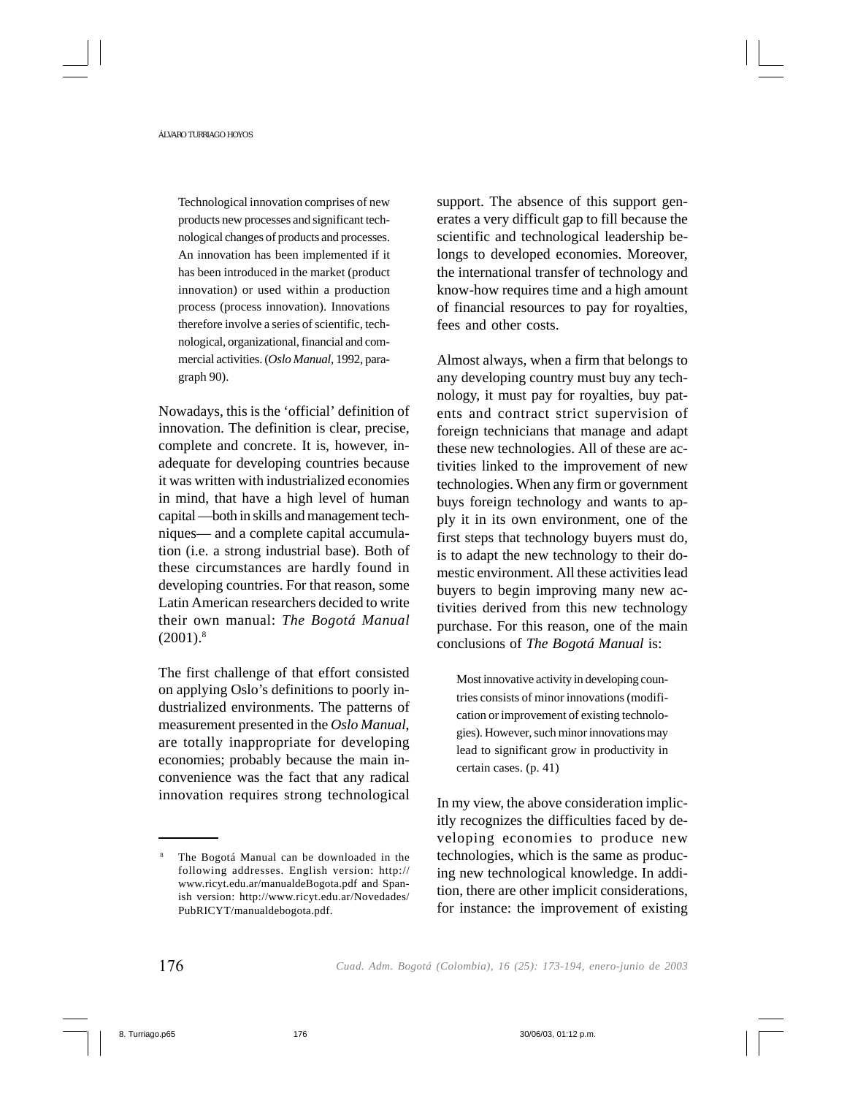Technological innovation comprises of new products new processes and significant technological changes of products and processes. An innovation has been implemented if it has been introduced in the market (product innovation) or used within a production process (process innovation). Innovations therefore involve a series of scientific, technological, organizational, financial and commercial activities. (*Oslo Manual*, 1992, paragraph 90).

Nowadays, this is the 'official' definition of innovation. The definition is clear, precise, complete and concrete. It is, however, inadequate for developing countries because it was written with industrialized economies in mind, that have a high level of human capital —both in skills and management techniques— and a complete capital accumulation (i.e. a strong industrial base). Both of these circumstances are hardly found in developing countries. For that reason, some Latin American researchers decided to write their own manual: *The Bogotá Manual*  $(2001).$ <sup>8</sup>

The first challenge of that effort consisted on applying Oslo's definitions to poorly industrialized environments. The patterns of measurement presented in the *Oslo Manual*, are totally inappropriate for developing economies; probably because the main inconvenience was the fact that any radical innovation requires strong technological support. The absence of this support generates a very difficult gap to fill because the scientific and technological leadership belongs to developed economies. Moreover, the international transfer of technology and know-how requires time and a high amount of financial resources to pay for royalties, fees and other costs.

Almost always, when a firm that belongs to any developing country must buy any technology, it must pay for royalties, buy patents and contract strict supervision of foreign technicians that manage and adapt these new technologies. All of these are activities linked to the improvement of new technologies. When any firm or government buys foreign technology and wants to apply it in its own environment, one of the first steps that technology buyers must do, is to adapt the new technology to their domestic environment. All these activities lead buyers to begin improving many new activities derived from this new technology purchase. For this reason, one of the main conclusions of *The Bogotá Manual* is:

Most innovative activity in developing countries consists of minor innovations (modification or improvement of existing technologies). However, such minor innovations may lead to significant grow in productivity in certain cases. (p. 41)

In my view, the above consideration implicitly recognizes the difficulties faced by developing economies to produce new technologies, which is the same as producing new technological knowledge. In addition, there are other implicit considerations, for instance: the improvement of existing

The Bogotá Manual can be downloaded in the following addresses. English version: http:// www.ricyt.edu.ar/manualdeBogota.pdf and Spanish version: http://www.ricyt.edu.ar/Novedades/ PubRICYT/manualdebogota.pdf.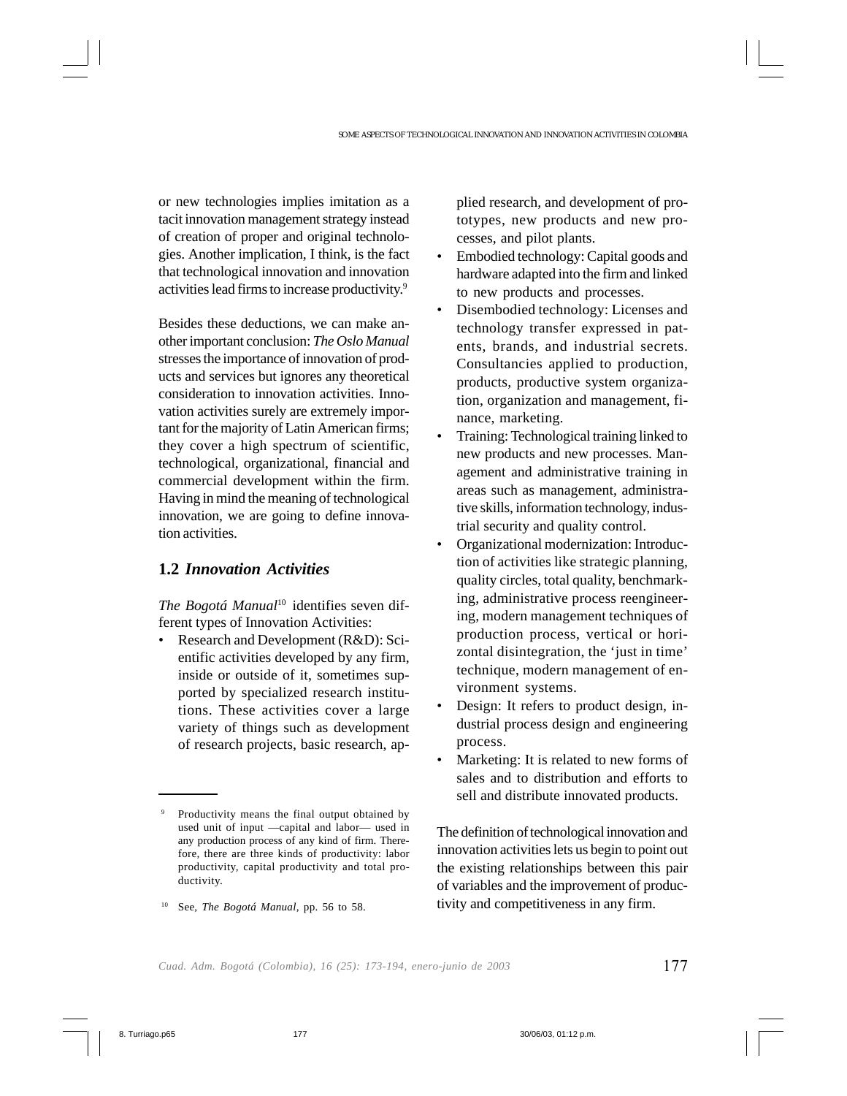or new technologies implies imitation as a tacit innovation management strategy instead of creation of proper and original technologies. Another implication, I think, is the fact that technological innovation and innovation activities lead firms to increase productivity.9

Besides these deductions, we can make another important conclusion: *The Oslo Manual* stresses the importance of innovation of products and services but ignores any theoretical consideration to innovation activities. Innovation activities surely are extremely important for the majority of Latin American firms; they cover a high spectrum of scientific, technological, organizational, financial and commercial development within the firm. Having in mind the meaning of technological innovation, we are going to define innovation activities.

## **1.2** *Innovation Activities*

*The Bogotá Manual*10 identifies seven different types of Innovation Activities:

• Research and Development (R&D): Scientific activities developed by any firm, inside or outside of it, sometimes supported by specialized research institutions. These activities cover a large variety of things such as development of research projects, basic research, applied research, and development of prototypes, new products and new processes, and pilot plants.

- Embodied technology: Capital goods and hardware adapted into the firm and linked to new products and processes.
- Disembodied technology: Licenses and technology transfer expressed in patents, brands, and industrial secrets. Consultancies applied to production, products, productive system organization, organization and management, finance, marketing.
- Training: Technological training linked to new products and new processes. Management and administrative training in areas such as management, administrative skills, information technology, industrial security and quality control.
- Organizational modernization: Introduction of activities like strategic planning, quality circles, total quality, benchmarking, administrative process reengineering, modern management techniques of production process, vertical or horizontal disintegration, the 'just in time' technique, modern management of environment systems.
- Design: It refers to product design, industrial process design and engineering process.
- Marketing: It is related to new forms of sales and to distribution and efforts to sell and distribute innovated products.

The definition of technological innovation and innovation activities lets us begin to point out the existing relationships between this pair of variables and the improvement of productivity and competitiveness in any firm.

Productivity means the final output obtained by used unit of input —capital and labor— used in any production process of any kind of firm. Therefore, there are three kinds of productivity: labor productivity, capital productivity and total productivity.

<sup>10</sup> See, *The Bogotá Manual*, pp. 56 to 58.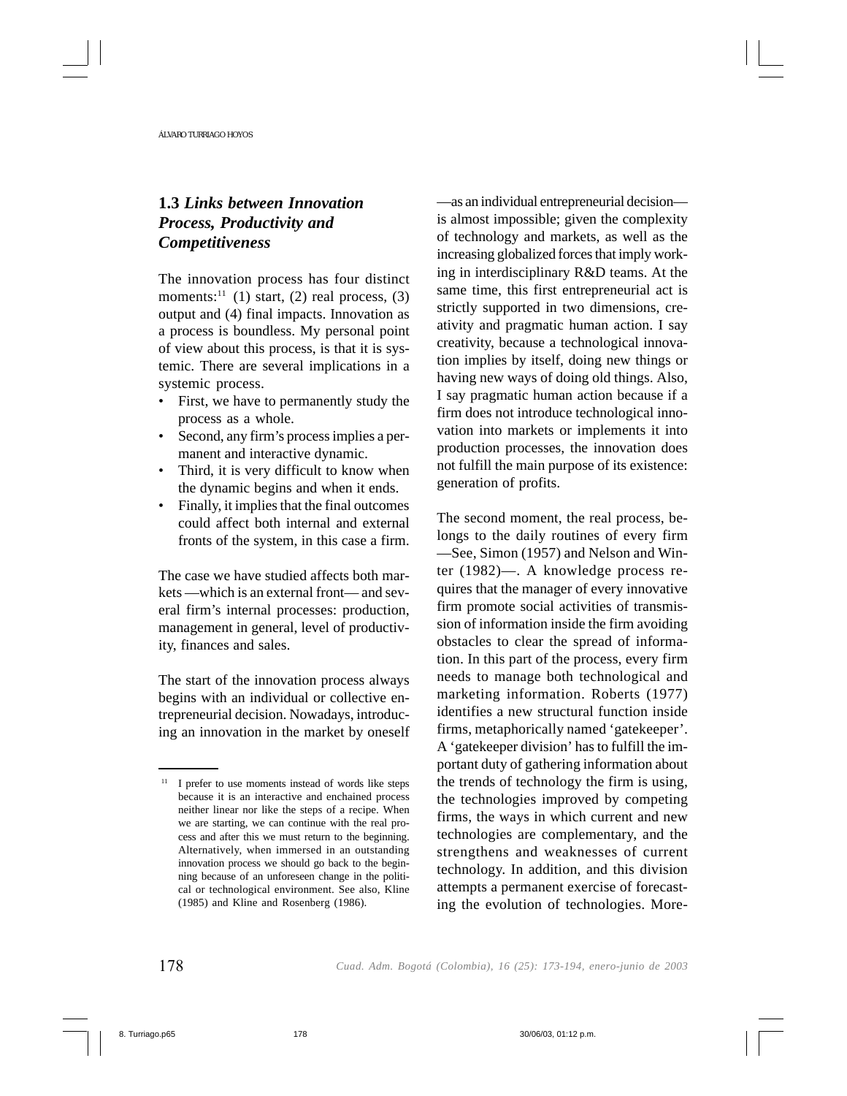# **1.3** *Links between Innovation Process, Productivity and Competitiveness*

The innovation process has four distinct moments:<sup>11</sup> (1) start, (2) real process, (3) output and (4) final impacts. Innovation as a process is boundless. My personal point of view about this process, is that it is systemic. There are several implications in a systemic process.

- First, we have to permanently study the process as a whole.
- Second, any firm's process implies a permanent and interactive dynamic.
- Third, it is very difficult to know when the dynamic begins and when it ends.
- Finally, it implies that the final outcomes could affect both internal and external fronts of the system, in this case a firm.

The case we have studied affects both markets —which is an external front— and several firm's internal processes: production, management in general, level of productivity, finances and sales.

The start of the innovation process always begins with an individual or collective entrepreneurial decision. Nowadays, introducing an innovation in the market by oneself —as an individual entrepreneurial decision is almost impossible; given the complexity of technology and markets, as well as the increasing globalized forces that imply working in interdisciplinary R&D teams. At the same time, this first entrepreneurial act is strictly supported in two dimensions, creativity and pragmatic human action. I say creativity, because a technological innovation implies by itself, doing new things or having new ways of doing old things. Also, I say pragmatic human action because if a firm does not introduce technological innovation into markets or implements it into production processes, the innovation does not fulfill the main purpose of its existence: generation of profits.

The second moment, the real process, belongs to the daily routines of every firm —See, Simon (1957) and Nelson and Winter (1982)—. A knowledge process requires that the manager of every innovative firm promote social activities of transmission of information inside the firm avoiding obstacles to clear the spread of information. In this part of the process, every firm needs to manage both technological and marketing information. Roberts (1977) identifies a new structural function inside firms, metaphorically named 'gatekeeper'. A 'gatekeeper division' has to fulfill the important duty of gathering information about the trends of technology the firm is using, the technologies improved by competing firms, the ways in which current and new technologies are complementary, and the strengthens and weaknesses of current technology. In addition, and this division attempts a permanent exercise of forecasting the evolution of technologies. More-

<sup>&</sup>lt;sup>11</sup> I prefer to use moments instead of words like steps because it is an interactive and enchained process neither linear nor like the steps of a recipe. When we are starting, we can continue with the real process and after this we must return to the beginning. Alternatively, when immersed in an outstanding innovation process we should go back to the beginning because of an unforeseen change in the political or technological environment. See also, Kline (1985) and Kline and Rosenberg (1986).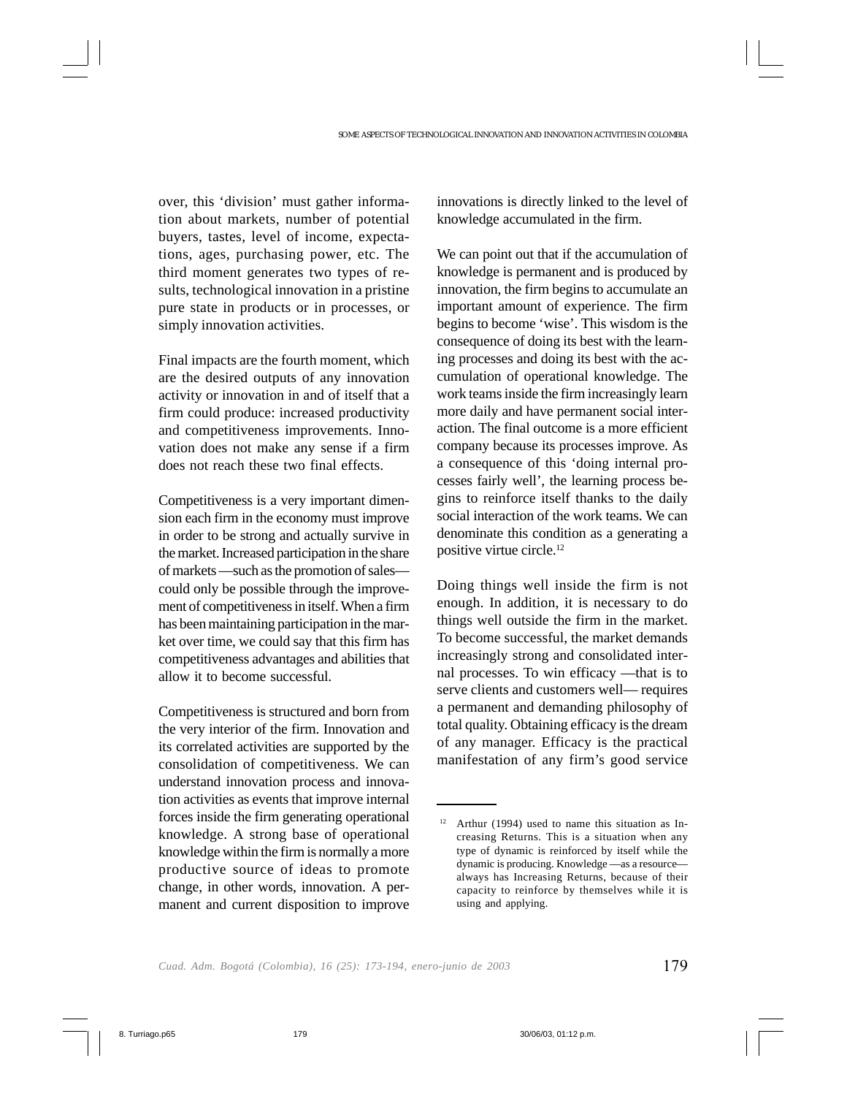over, this 'division' must gather information about markets, number of potential buyers, tastes, level of income, expectations, ages, purchasing power, etc. The third moment generates two types of results, technological innovation in a pristine pure state in products or in processes, or simply innovation activities.

Final impacts are the fourth moment, which are the desired outputs of any innovation activity or innovation in and of itself that a firm could produce: increased productivity and competitiveness improvements. Innovation does not make any sense if a firm does not reach these two final effects.

Competitiveness is a very important dimension each firm in the economy must improve in order to be strong and actually survive in the market. Increased participation in the share of markets —such as the promotion of sales could only be possible through the improvement of competitiveness in itself. When a firm has been maintaining participation in the market over time, we could say that this firm has competitiveness advantages and abilities that allow it to become successful.

Competitiveness is structured and born from the very interior of the firm. Innovation and its correlated activities are supported by the consolidation of competitiveness. We can understand innovation process and innovation activities as events that improve internal forces inside the firm generating operational knowledge. A strong base of operational knowledge within the firm is normally a more productive source of ideas to promote change, in other words, innovation. A permanent and current disposition to improve innovations is directly linked to the level of knowledge accumulated in the firm.

We can point out that if the accumulation of knowledge is permanent and is produced by innovation, the firm begins to accumulate an important amount of experience. The firm begins to become 'wise'. This wisdom is the consequence of doing its best with the learning processes and doing its best with the accumulation of operational knowledge. The work teams inside the firm increasingly learn more daily and have permanent social interaction. The final outcome is a more efficient company because its processes improve. As a consequence of this 'doing internal processes fairly well', the learning process begins to reinforce itself thanks to the daily social interaction of the work teams. We can denominate this condition as a generating a positive virtue circle.12

Doing things well inside the firm is not enough. In addition, it is necessary to do things well outside the firm in the market. To become successful, the market demands increasingly strong and consolidated internal processes. To win efficacy —that is to serve clients and customers well— requires a permanent and demanding philosophy of total quality. Obtaining efficacy is the dream of any manager. Efficacy is the practical manifestation of any firm's good service

 $12$  Arthur (1994) used to name this situation as Increasing Returns. This is a situation when any type of dynamic is reinforced by itself while the dynamic is producing. Knowledge —as a resource always has Increasing Returns, because of their capacity to reinforce by themselves while it is using and applying.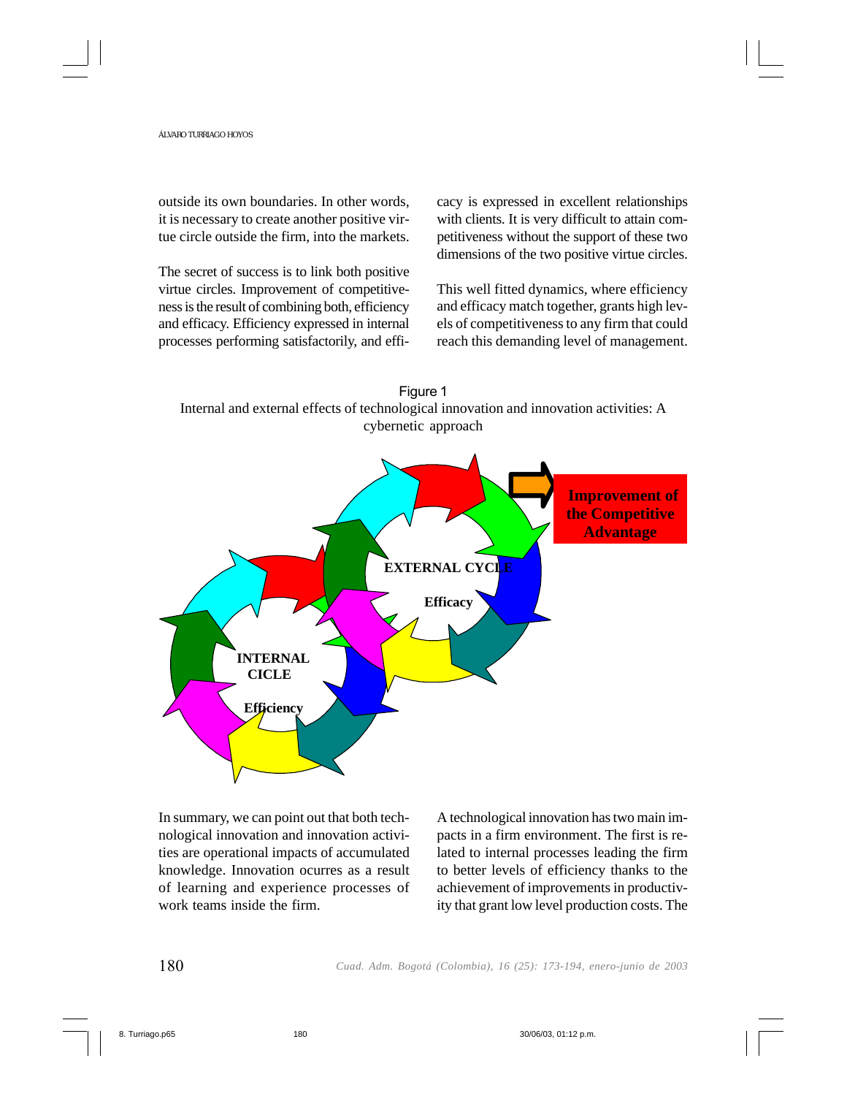outside its own boundaries. In other words, it is necessary to create another positive virtue circle outside the firm, into the markets.

The secret of success is to link both positive virtue circles. Improvement of competitiveness is the result of combining both, efficiency and efficacy. Efficiency expressed in internal processes performing satisfactorily, and efficacy is expressed in excellent relationships with clients. It is very difficult to attain competitiveness without the support of these two dimensions of the two positive virtue circles.

This well fitted dynamics, where efficiency and efficacy match together, grants high levels of competitiveness to any firm that could reach this demanding level of management.



Figure 1

In summary, we can point out that both technological innovation and innovation activities are operational impacts of accumulated knowledge. Innovation ocurres as a result of learning and experience processes of work teams inside the firm.

A technological innovation has two main impacts in a firm environment. The first is related to internal processes leading the firm to better levels of efficiency thanks to the achievement of improvements in productivity that grant low level production costs. The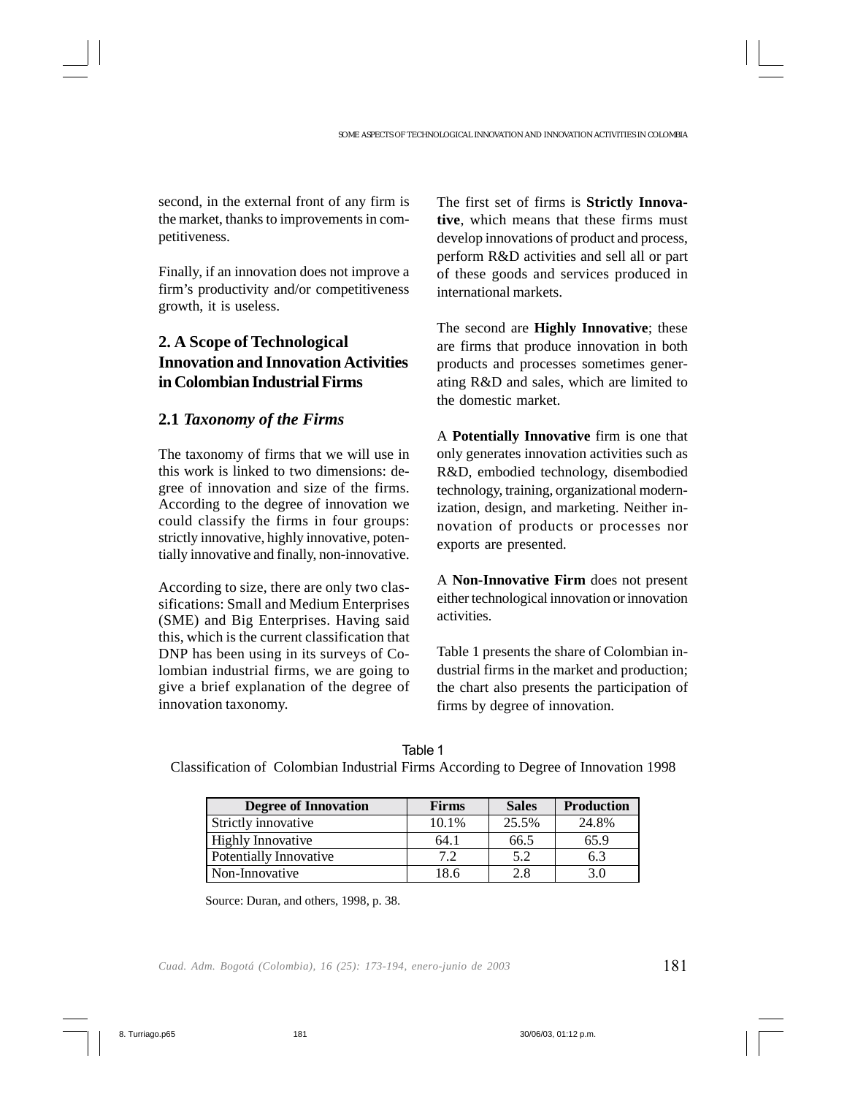second, in the external front of any firm is the market, thanks to improvements in competitiveness.

Finally, if an innovation does not improve a firm's productivity and/or competitiveness growth, it is useless.

# **2. A Scope of Technological Innovation and Innovation Activities in Colombian Industrial Firms**

# **2.1** *Taxonomy of the Firms*

The taxonomy of firms that we will use in this work is linked to two dimensions: degree of innovation and size of the firms. According to the degree of innovation we could classify the firms in four groups: strictly innovative, highly innovative, potentially innovative and finally, non-innovative.

According to size, there are only two classifications: Small and Medium Enterprises (SME) and Big Enterprises. Having said this, which is the current classification that DNP has been using in its surveys of Colombian industrial firms, we are going to give a brief explanation of the degree of innovation taxonomy.

The first set of firms is **Strictly Innovative**, which means that these firms must develop innovations of product and process, perform R&D activities and sell all or part of these goods and services produced in international markets.

The second are **Highly Innovative**; these are firms that produce innovation in both products and processes sometimes generating R&D and sales, which are limited to the domestic market.

A **Potentially Innovative** firm is one that only generates innovation activities such as R&D, embodied technology, disembodied technology, training, organizational modernization, design, and marketing. Neither innovation of products or processes nor exports are presented.

A **Non-Innovative Firm** does not present either technological innovation or innovation activities.

Table 1 presents the share of Colombian industrial firms in the market and production; the chart also presents the participation of firms by degree of innovation.

| -<br>۰, |
|---------|
|---------|

Classification of Colombian Industrial Firms According to Degree of Innovation 1998

| <b>Degree of Innovation</b> | <b>Firms</b> | <b>Sales</b> | <b>Production</b> |
|-----------------------------|--------------|--------------|-------------------|
| Strictly innovative         | 10.1%        | 25.5%        | 24.8%             |
| <b>Highly Innovative</b>    | 64.1         | 66.5         | 65.9              |
| Potentially Innovative      | 7.2          | 5.2          | 6.3               |
| Non-Innovative              | 18.6         | 2.8          | 3.0               |

Source: Duran, and others, 1998, p. 38.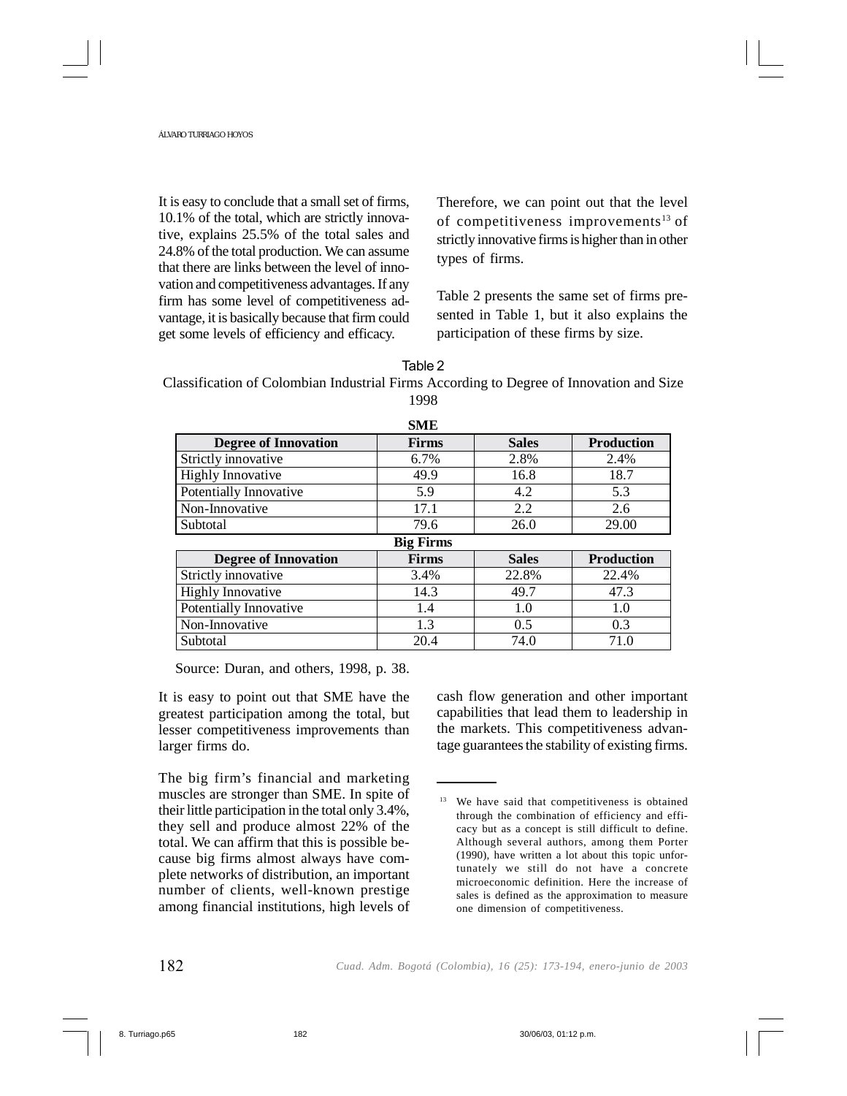It is easy to conclude that a small set of firms, 10.1% of the total, which are strictly innovative, explains 25.5% of the total sales and 24.8% of the total production. We can assume that there are links between the level of innovation and competitiveness advantages. If any firm has some level of competitiveness advantage, it is basically because that firm could get some levels of efficiency and efficacy.

Therefore, we can point out that the level of competitiveness improvements<sup>13</sup> of strictly innovative firms is higher than in other types of firms.

Table 2 presents the same set of firms presented in Table 1, but it also explains the participation of these firms by size.

### Table 2

Classification of Colombian Industrial Firms According to Degree of Innovation and Size 1998

**SME** 

| эме                         |                  |              |                   |  |
|-----------------------------|------------------|--------------|-------------------|--|
| <b>Degree of Innovation</b> | <b>Firms</b>     | <b>Sales</b> | <b>Production</b> |  |
| Strictly innovative         | 6.7%             | 2.8%         | 2.4%              |  |
| <b>Highly Innovative</b>    | 49.9             | 16.8         | 18.7              |  |
| Potentially Innovative      | 5.9              | 4.2          | 5.3               |  |
| Non-Innovative              | 17.1             | 2.2          | 2.6               |  |
| Subtotal                    | 79.6             | 26.0         | 29.00             |  |
|                             | <b>Big Firms</b> |              |                   |  |
| <b>Degree of Innovation</b> | <b>Firms</b>     | <b>Sales</b> | <b>Production</b> |  |
| Strictly innovative         | 3.4%             | 22.8%        | 22.4%             |  |
| <b>Highly Innovative</b>    | 14.3             | 49.7         | 47.3              |  |
| Potentially Innovative      | 1.4              | 1.0          | 1.0               |  |
| Non-Innovative              | 1.3              | 0.5          | 0.3               |  |
| Subtotal                    | 20.4             | 74.0         | 71.0              |  |

Source: Duran, and others, 1998, p. 38.

It is easy to point out that SME have the greatest participation among the total, but lesser competitiveness improvements than larger firms do.

The big firm's financial and marketing muscles are stronger than SME. In spite of their little participation in the total only 3.4%, they sell and produce almost 22% of the total. We can affirm that this is possible because big firms almost always have complete networks of distribution, an important number of clients, well-known prestige among financial institutions, high levels of cash flow generation and other important capabilities that lead them to leadership in the markets. This competitiveness advantage guarantees the stability of existing firms.

<sup>&</sup>lt;sup>13</sup> We have said that competitiveness is obtained through the combination of efficiency and efficacy but as a concept is still difficult to define. Although several authors, among them Porter (1990), have written a lot about this topic unfortunately we still do not have a concrete microeconomic definition. Here the increase of sales is defined as the approximation to measure one dimension of competitiveness.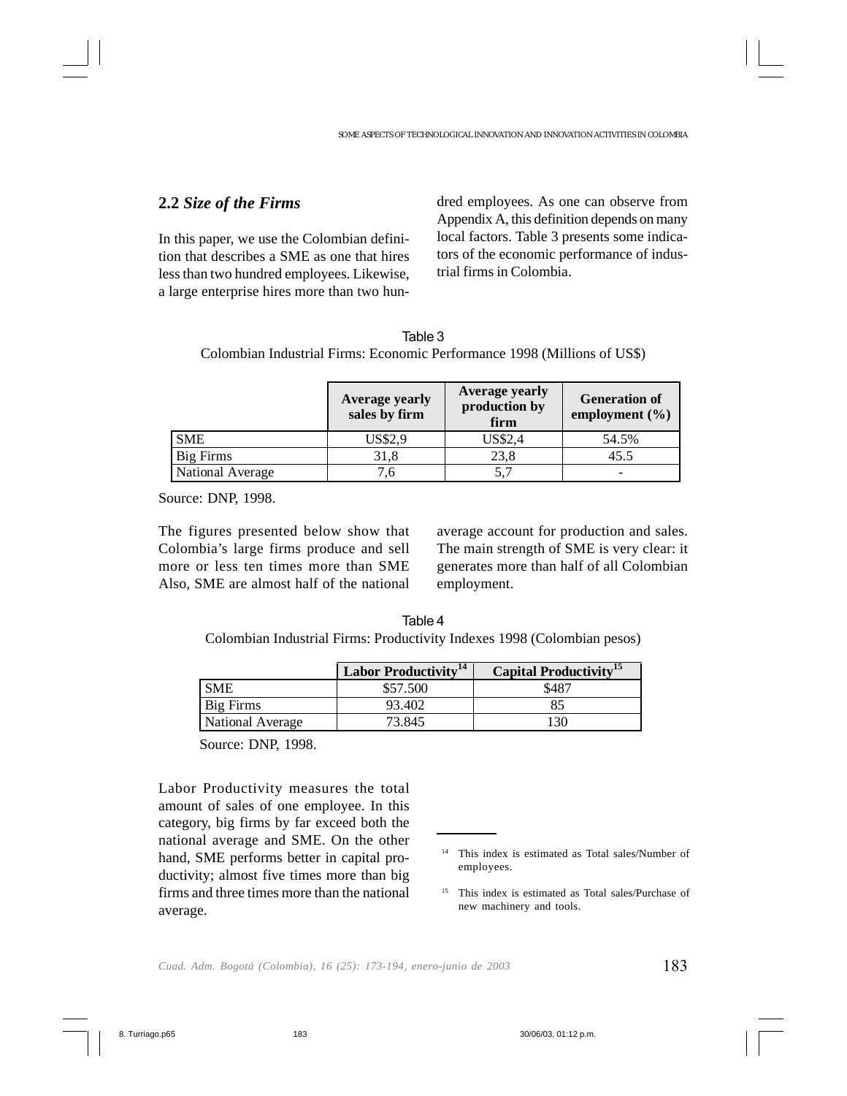## **2.2** *Size of the Firms*

In this paper, we use the Colombian definition that describes a SME as one that hires less than two hundred employees. Likewise, a large enterprise hires more than two hundred employees. As one can observe from Appendix A, this definition depends on many local factors. Table 3 presents some indicators of the economic performance of industrial firms in Colombia.

| Table 3                                                                  |  |
|--------------------------------------------------------------------------|--|
| Colombian Industrial Firms: Economic Performance 1998 (Millions of US\$) |  |

|                  | Average yearly<br>sales by firm | Average yearly<br>production by<br>firm | <b>Generation of</b><br>employment $(\% )$ |
|------------------|---------------------------------|-----------------------------------------|--------------------------------------------|
| <b>SME</b>       | US\$2,9                         | <b>US\$2,4</b>                          | 54.5%                                      |
| Big Firms        | 31,8                            | 23,8                                    | 45.5                                       |
| National Average | .6                              |                                         |                                            |

Source: DNP, 1998.

The figures presented below show that Colombia's large firms produce and sell more or less ten times more than SME Also, SME are almost half of the national

average account for production and sales. The main strength of SME is very clear: it generates more than half of all Colombian employment.

Table 4 Colombian Industrial Firms: Productivity Indexes 1998 (Colombian pesos)

|                  | Labor Productivity <sup>14</sup> | Capital Productivity <sup>15</sup> |
|------------------|----------------------------------|------------------------------------|
| <b>SME</b>       | \$57.500                         | \$487                              |
| Big Firms        | 93.402                           | 85                                 |
| National Average | 73.845                           | 130                                |

Source: DNP, 1998.

Labor Productivity measures the total amount of sales of one employee. In this category, big firms by far exceed both the national average and SME. On the other hand, SME performs better in capital productivity; almost five times more than big firms and three times more than the national average.

<sup>14</sup> This index is estimated as Total sales/Number of employees.

<sup>15</sup> This index is estimated as Total sales/Purchase of new machinery and tools.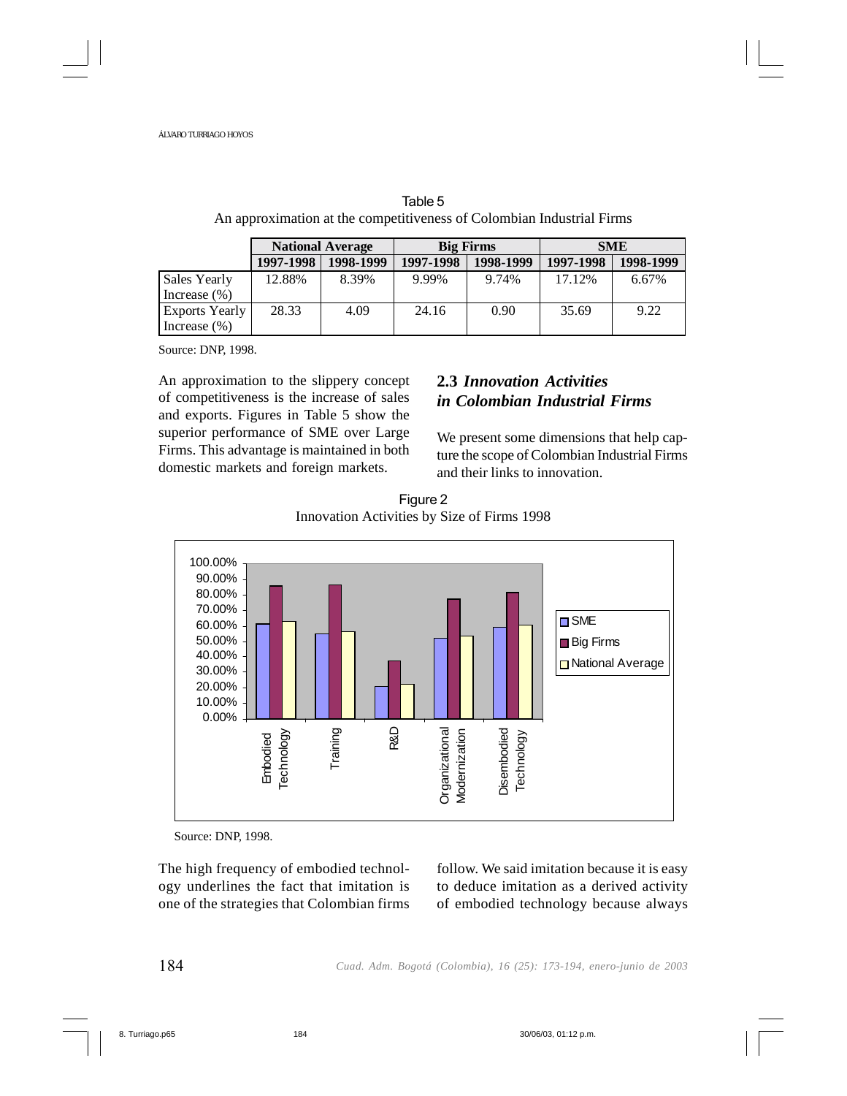|                                    | <b>National Average</b> |           |           | <b>Big Firms</b> |           | <b>SME</b> |  |
|------------------------------------|-------------------------|-----------|-----------|------------------|-----------|------------|--|
|                                    | 1997-1998               | 1998-1999 | 1997-1998 | 1998-1999        | 1997-1998 | 1998-1999  |  |
| Sales Yearly<br>Increase $(\% )$   | 12.88%                  | 8.39%     | 9.99%     | 9.74%            | 17.12%    | 6.67%      |  |
| Exports Yearly<br>Increase $(\% )$ | 28.33                   | 4.09      | 24.16     | 0.90             | 35.69     | 9.22       |  |

Table 5 An approximation at the competitiveness of Colombian Industrial Firms

Source: DNP, 1998.

An approximation to the slippery concept of competitiveness is the increase of sales and exports. Figures in Table 5 show the superior performance of SME over Large Firms. This advantage is maintained in both domestic markets and foreign markets.

# **2.3** *Innovation Activities in Colombian Industrial Firms*

We present some dimensions that help capture the scope of Colombian Industrial Firms and their links to innovation.





Source: DNP, 1998.

The high frequency of embodied technology underlines the fact that imitation is one of the strategies that Colombian firms follow. We said imitation because it is easy to deduce imitation as a derived activity of embodied technology because always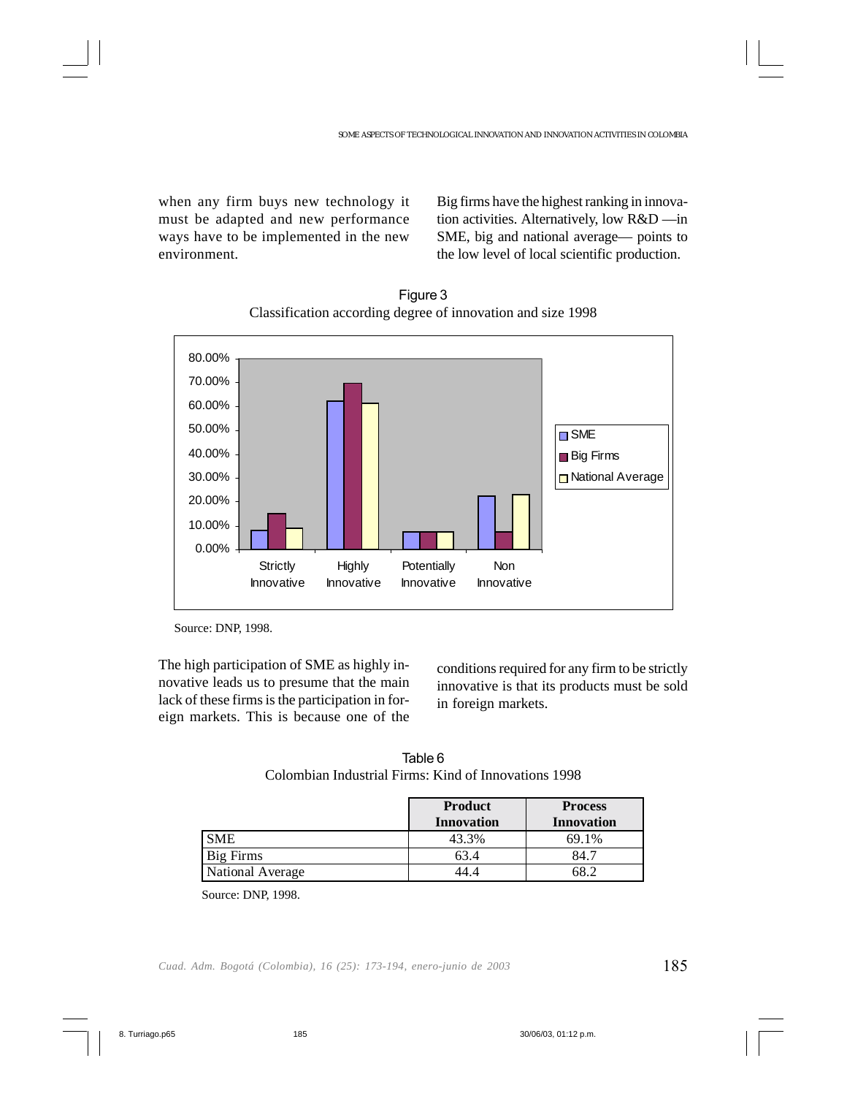when any firm buys new technology it must be adapted and new performance ways have to be implemented in the new environment.

Big firms have the highest ranking in innovation activities. Alternatively, low R&D —in SME, big and national average— points to the low level of local scientific production.



Figure 3 Classification according degree of innovation and size 1998

The high participation of SME as highly innovative leads us to presume that the main lack of these firms is the participation in foreign markets. This is because one of the

conditions required for any firm to be strictly innovative is that its products must be sold in foreign markets.

| Table 6                                              |  |
|------------------------------------------------------|--|
| Colombian Industrial Firms: Kind of Innovations 1998 |  |

|                  | <b>Product</b><br><b>Innovation</b> | <b>Process</b><br><b>Innovation</b> |
|------------------|-------------------------------------|-------------------------------------|
| <b>SME</b>       | 43.3%                               | 69.1%                               |
| Big Firms        | 63.4                                | 84.                                 |
| National Average |                                     |                                     |

Source: DNP, 1998.

Source: DNP, 1998.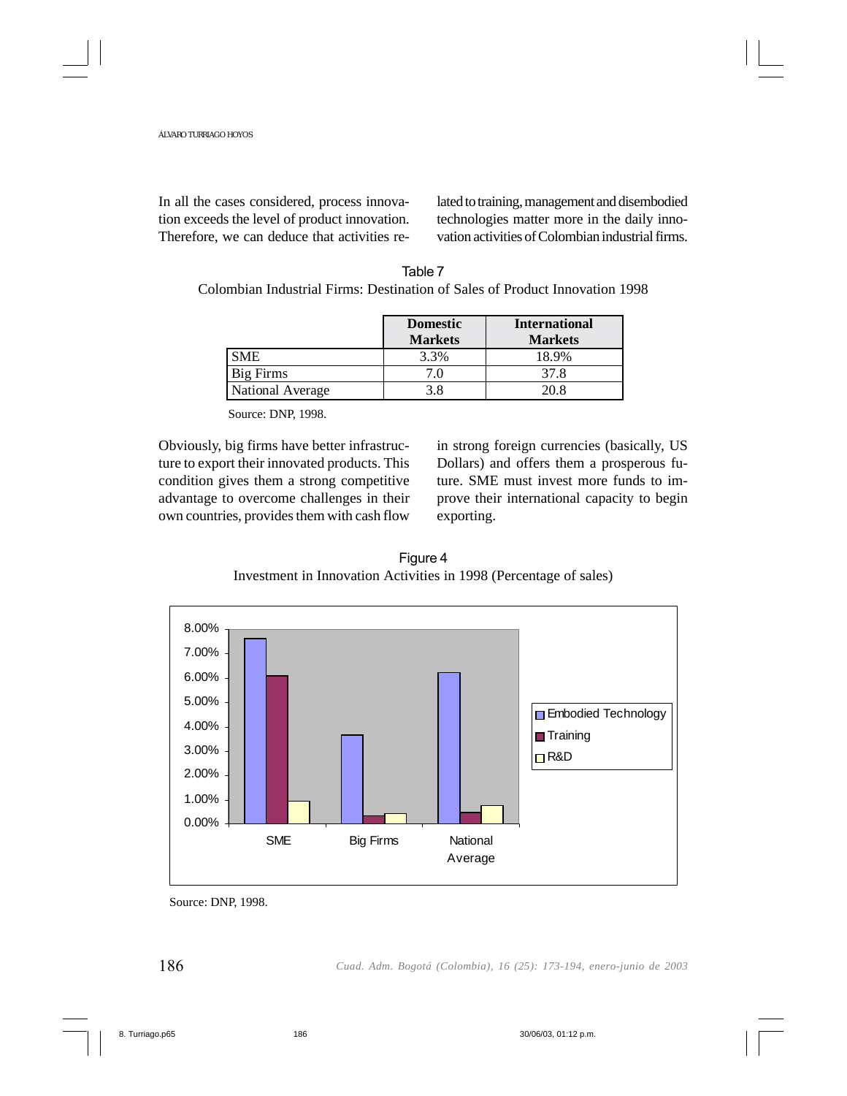In all the cases considered, process innovation exceeds the level of product innovation. Therefore, we can deduce that activities related to training, management and disembodied technologies matter more in the daily innovation activities of Colombian industrial firms.

| Table 7                                                                     |
|-----------------------------------------------------------------------------|
| Colombian Industrial Firms: Destination of Sales of Product Innovation 1998 |

|                  | <b>Domestic</b><br><b>Markets</b> | <b>International</b><br><b>Markets</b> |
|------------------|-----------------------------------|----------------------------------------|
| <b>SME</b>       | 3.3%                              | 18.9%                                  |
| <b>Big Firms</b> |                                   | 37.8                                   |
| National Average | 3.8                               | 20 S                                   |

Source: DNP, 1998.

Obviously, big firms have better infrastructure to export their innovated products. This condition gives them a strong competitive advantage to overcome challenges in their own countries, provides them with cash flow

in strong foreign currencies (basically, US Dollars) and offers them a prosperous future. SME must invest more funds to improve their international capacity to begin exporting.



Figure 4



Source: DNP, 1998.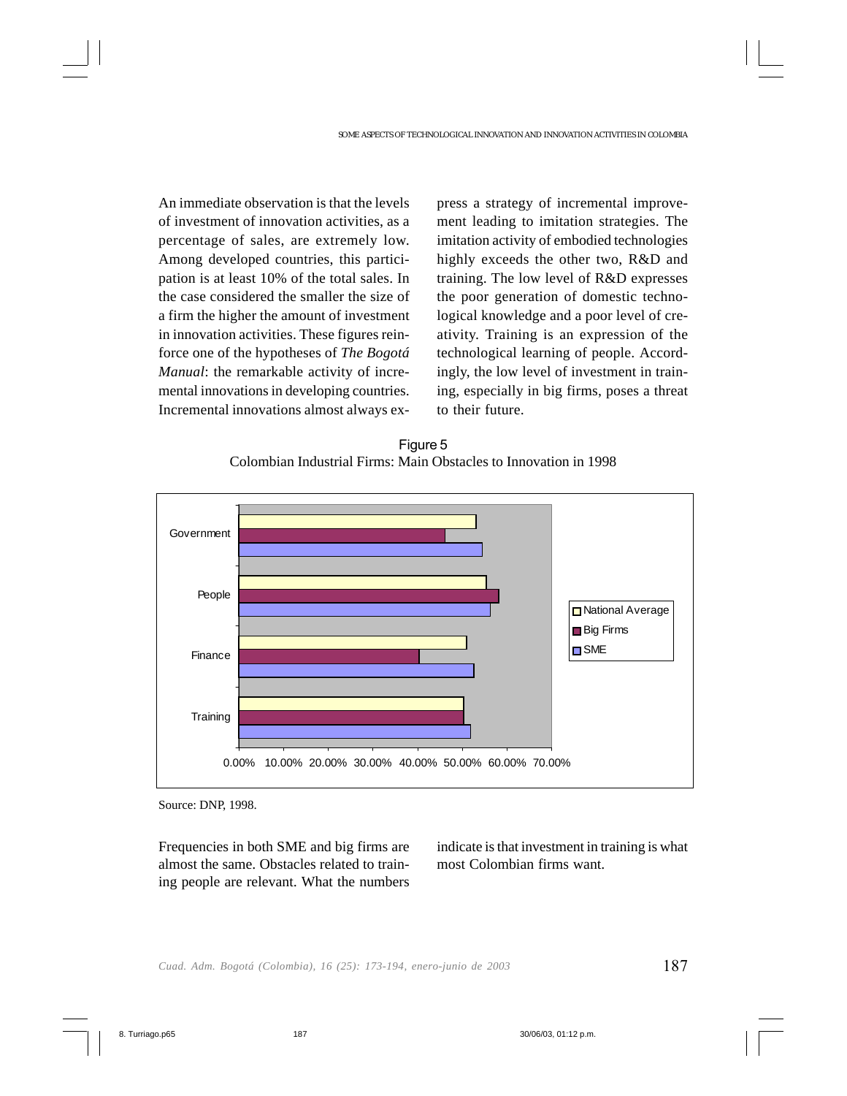An immediate observation is that the levels of investment of innovation activities, as a percentage of sales, are extremely low. Among developed countries, this participation is at least 10% of the total sales. In the case considered the smaller the size of a firm the higher the amount of investment in innovation activities. These figures reinforce one of the hypotheses of *The Bogotá Manual*: the remarkable activity of incremental innovations in developing countries. Incremental innovations almost always express a strategy of incremental improvement leading to imitation strategies. The imitation activity of embodied technologies highly exceeds the other two, R&D and training. The low level of R&D expresses the poor generation of domestic technological knowledge and a poor level of creativity. Training is an expression of the technological learning of people. Accordingly, the low level of investment in training, especially in big firms, poses a threat to their future.





Source: DNP, 1998.

Frequencies in both SME and big firms are almost the same. Obstacles related to training people are relevant. What the numbers indicate is that investment in training is what most Colombian firms want.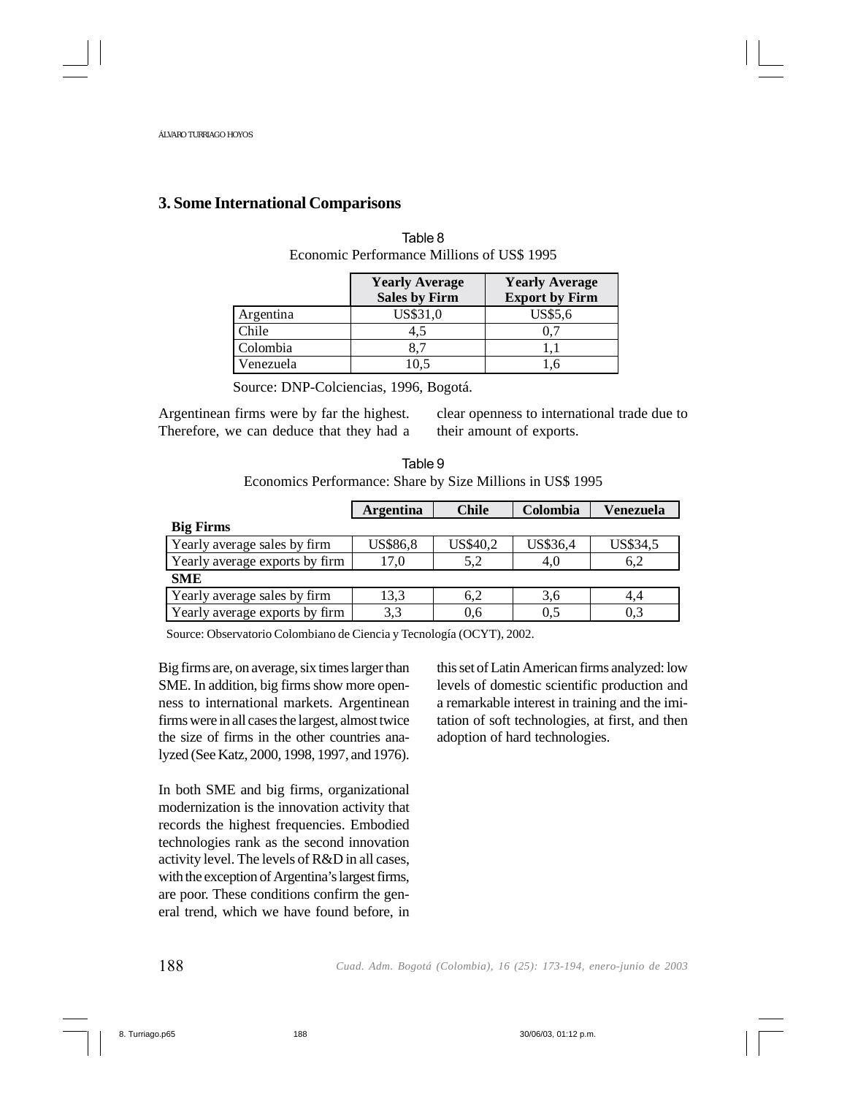### **3. Some International Comparisons**

|           | <b>Yearly Average</b><br><b>Sales by Firm</b> | <b>Yearly Average</b><br><b>Export by Firm</b> |
|-----------|-----------------------------------------------|------------------------------------------------|
| Argentina | US\$31,0                                      | US\$5,6                                        |
| Chile     | 4.5                                           |                                                |
| Colombia  | 8.7                                           |                                                |
| Venezuela | 10.5                                          |                                                |

Table 8 Economic Performance Millions of US\$ 1995

Source: DNP-Colciencias, 1996, Bogotá.

Argentinean firms were by far the highest. Therefore, we can deduce that they had a clear openness to international trade due to their amount of exports.

Table 9 Economics Performance: Share by Size Millions in US\$ 1995

|                                | <b>Argentina</b> | <b>Chile</b> | Colombia | Venezuela |
|--------------------------------|------------------|--------------|----------|-----------|
| <b>Big Firms</b>               |                  |              |          |           |
| Yearly average sales by firm   | <b>US\$86,8</b>  | US\$40,2     | US\$36,4 | US\$34,5  |
| Yearly average exports by firm | 17.0             | 5.2          | 4.0      | 6.2       |
| <b>SME</b>                     |                  |              |          |           |
| Yearly average sales by firm   | 13.3             | 6,2          | 3.6      | 4,4       |
| Yearly average exports by firm | 3.3              | 0.6          | 0.5      | 0.3       |

Source: Observatorio Colombiano de Ciencia y Tecnología (OCYT), 2002.

Big firms are, on average, six times larger than SME. In addition, big firms show more openness to international markets. Argentinean firms were in all cases the largest, almost twice the size of firms in the other countries analyzed (See Katz, 2000, 1998, 1997, and 1976).

In both SME and big firms, organizational modernization is the innovation activity that records the highest frequencies. Embodied technologies rank as the second innovation activity level. The levels of R&D in all cases, with the exception of Argentina's largest firms, are poor. These conditions confirm the general trend, which we have found before, in this set of Latin American firms analyzed: low levels of domestic scientific production and a remarkable interest in training and the imitation of soft technologies, at first, and then adoption of hard technologies.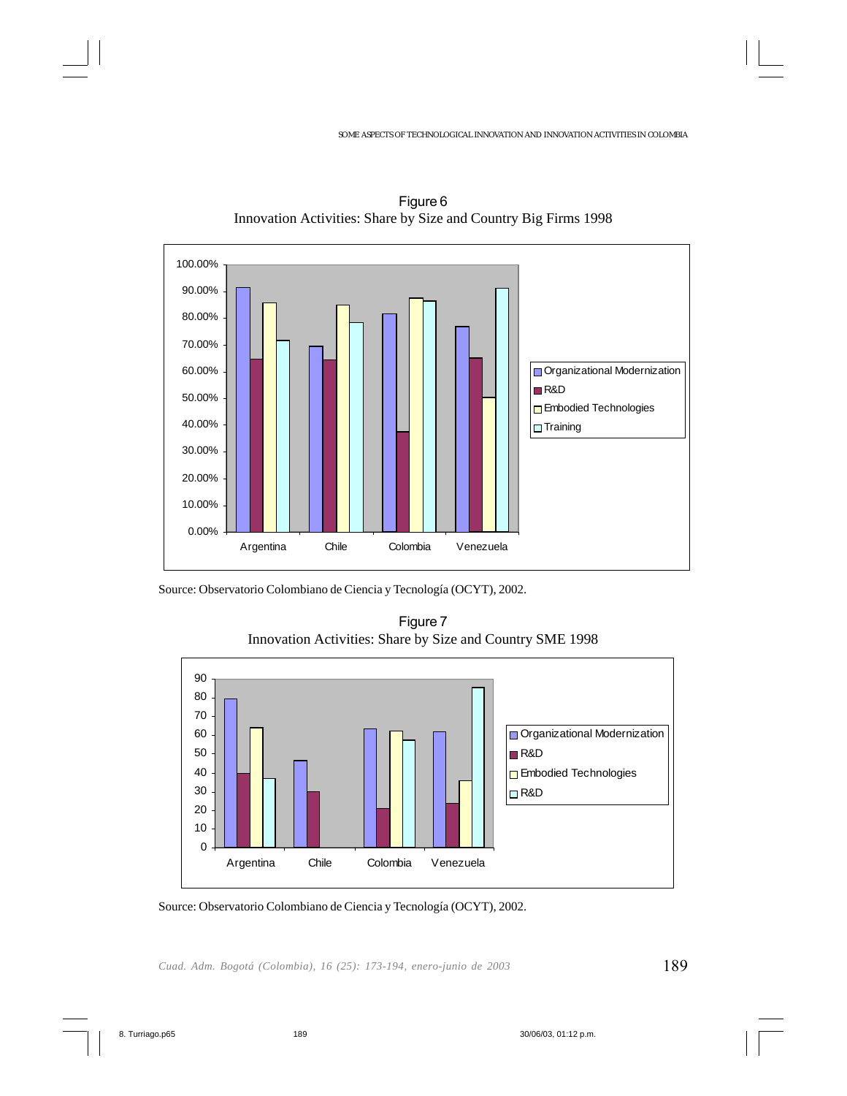SOME ASPECTS OF TECHNOLOGICAL INNOVATION AND INNOVATION ACTIVITIES IN COLOMBIA



Figure 6 Innovation Activities: Share by Size and Country Big Firms 1998

Source: Observatorio Colombiano de Ciencia y Tecnología (OCYT), 2002.

Figure 7 Innovation Activities: Share by Size and Country SME 1998



Source: Observatorio Colombiano de Ciencia y Tecnología (OCYT), 2002.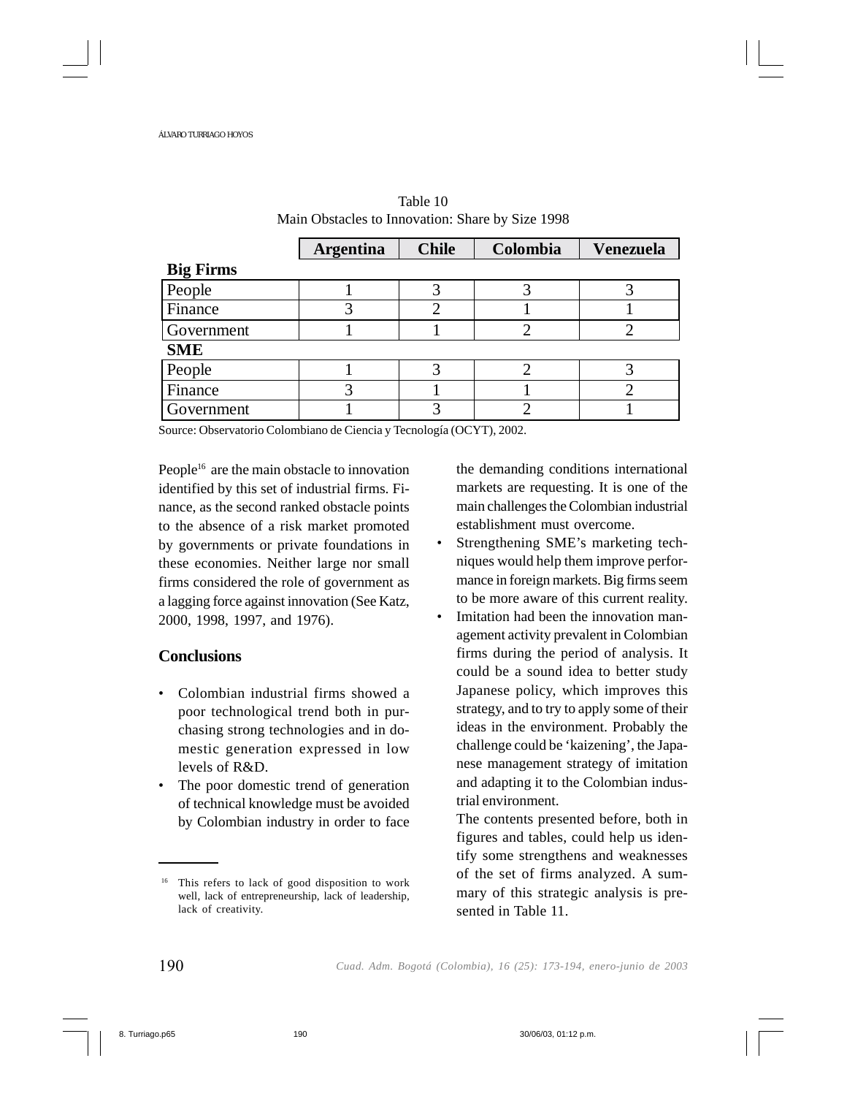|                  | <b>Argentina</b> | <b>Chile</b> | Colombia | <b>Venezuela</b> |
|------------------|------------------|--------------|----------|------------------|
| <b>Big Firms</b> |                  |              |          |                  |
| People           |                  |              |          |                  |
| Finance          |                  |              |          |                  |
| Government       |                  |              |          |                  |
| <b>SME</b>       |                  |              |          |                  |
| People           |                  |              |          |                  |
| Finance          |                  |              |          |                  |
| Government       |                  |              |          |                  |

| Table 10                                         |
|--------------------------------------------------|
| Main Obstacles to Innovation: Share by Size 1998 |

Source: Observatorio Colombiano de Ciencia y Tecnología (OCYT), 2002.

People<sup>16</sup> are the main obstacle to innovation identified by this set of industrial firms. Finance, as the second ranked obstacle points to the absence of a risk market promoted by governments or private foundations in these economies. Neither large nor small firms considered the role of government as a lagging force against innovation (See Katz, 2000, 1998, 1997, and 1976).

# **Conclusions**

- Colombian industrial firms showed a poor technological trend both in purchasing strong technologies and in domestic generation expressed in low levels of R&D.
- The poor domestic trend of generation of technical knowledge must be avoided by Colombian industry in order to face

the demanding conditions international markets are requesting. It is one of the main challenges the Colombian industrial establishment must overcome.

- Strengthening SME's marketing techniques would help them improve performance in foreign markets. Big firms seem to be more aware of this current reality.
- Imitation had been the innovation management activity prevalent in Colombian firms during the period of analysis. It could be a sound idea to better study Japanese policy, which improves this strategy, and to try to apply some of their ideas in the environment. Probably the challenge could be 'kaizening', the Japanese management strategy of imitation and adapting it to the Colombian industrial environment.

The contents presented before, both in figures and tables, could help us identify some strengthens and weaknesses of the set of firms analyzed. A summary of this strategic analysis is presented in Table 11.

<sup>16</sup> This refers to lack of good disposition to work well, lack of entrepreneurship, lack of leadership, lack of creativity.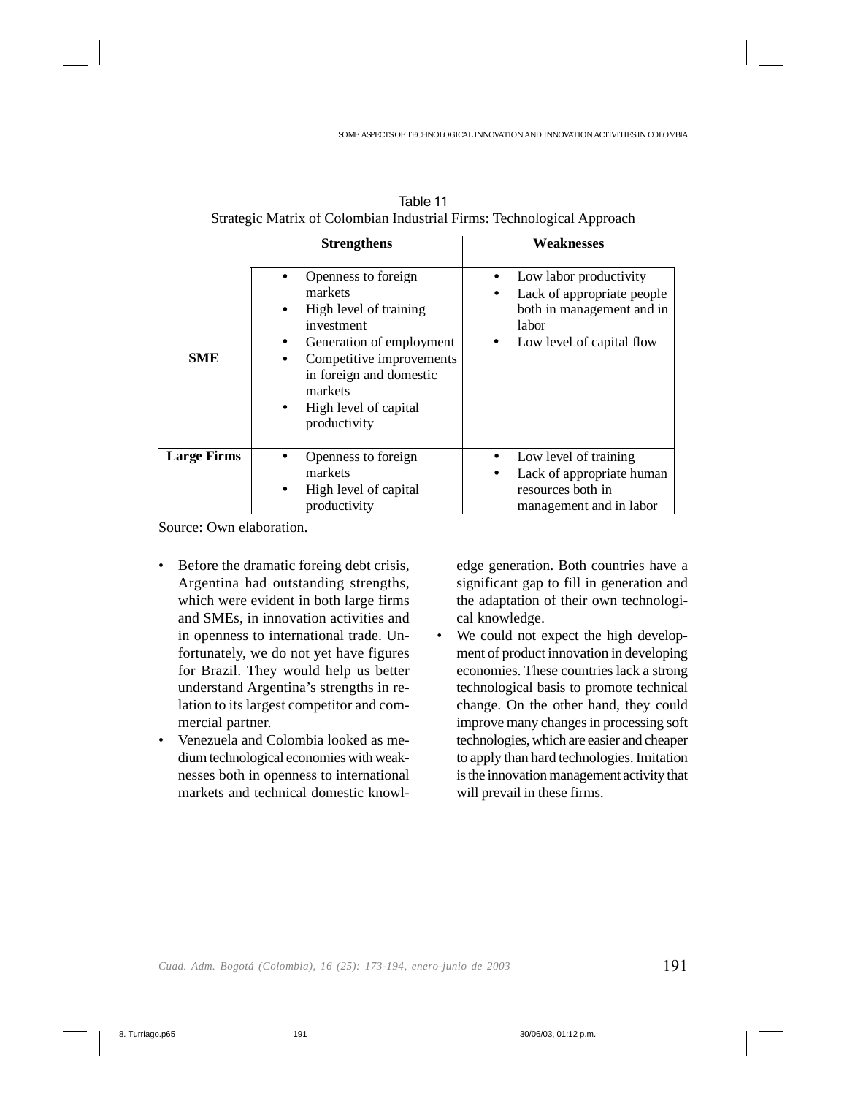|                    | <b>Strengthens</b>                                                                                                                                                                                                                                   | Weaknesses                                                                                                                   |  |  |
|--------------------|------------------------------------------------------------------------------------------------------------------------------------------------------------------------------------------------------------------------------------------------------|------------------------------------------------------------------------------------------------------------------------------|--|--|
| <b>SME</b>         | Openness to foreign<br>markets<br>High level of training<br>$\bullet$<br>investment<br>Generation of employment<br>$\bullet$<br>Competitive improvements<br>in foreign and domestic<br>markets<br>High level of capital<br>$\bullet$<br>productivity | Low labor productivity<br>Lack of appropriate people<br>٠<br>both in management and in<br>labor<br>Low level of capital flow |  |  |
| <b>Large Firms</b> | Openness to foreign<br>markets<br>High level of capital<br>productivity                                                                                                                                                                              | Low level of training<br>Lack of appropriate human<br>$\bullet$<br>resources both in<br>management and in labor              |  |  |

| Table 11                                                               |
|------------------------------------------------------------------------|
| Strategic Matrix of Colombian Industrial Firms: Technological Approach |

Source: Own elaboration.

- Before the dramatic foreing debt crisis, Argentina had outstanding strengths, which were evident in both large firms and SMEs, in innovation activities and in openness to international trade. Unfortunately, we do not yet have figures for Brazil. They would help us better understand Argentina's strengths in relation to its largest competitor and commercial partner.
- Venezuela and Colombia looked as medium technological economies with weaknesses both in openness to international markets and technical domestic knowl-

edge generation. Both countries have a significant gap to fill in generation and the adaptation of their own technological knowledge.

• We could not expect the high development of product innovation in developing economies. These countries lack a strong technological basis to promote technical change. On the other hand, they could improve many changes in processing soft technologies, which are easier and cheaper to apply than hard technologies. Imitation is the innovation management activity that will prevail in these firms.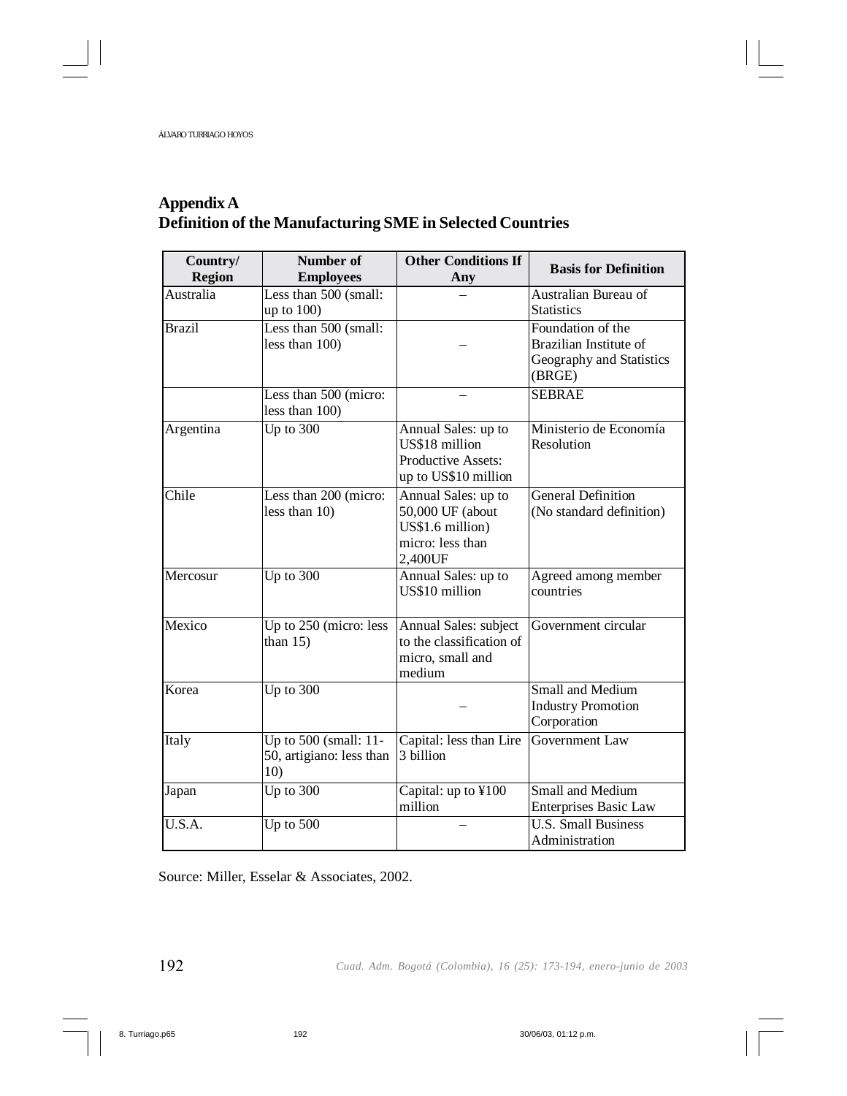# **Appendix A Definition of the Manufacturing SME in Selected Countries**

| Country/<br><b>Region</b> | Number of<br><b>Employees</b>                                                 | <b>Other Conditions If</b><br>Any                                                          | <b>Basis for Definition</b>                                                       |
|---------------------------|-------------------------------------------------------------------------------|--------------------------------------------------------------------------------------------|-----------------------------------------------------------------------------------|
| Australia                 | Less than 500 (small:<br>up to 100)                                           |                                                                                            | Australian Bureau of<br><b>Statistics</b>                                         |
| <b>Brazil</b>             | Less than 500 (small:<br>less than 100)                                       |                                                                                            | Foundation of the<br>Brazilian Institute of<br>Geography and Statistics<br>(BRGE) |
|                           | Less than 500 (micro:<br>less than 100)                                       |                                                                                            | <b>SEBRAE</b>                                                                     |
| Argentina                 | Up to $300$                                                                   | Annual Sales: up to<br>US\$18 million<br>Productive Assets:<br>up to US\$10 million        | Ministerio de Economía<br>Resolution                                              |
| Chile                     | Less than 200 (micro:<br>less than 10)                                        | Annual Sales: up to<br>50,000 UF (about<br>US\$1.6 million)<br>micro: less than<br>2,400UF | <b>General Definition</b><br>(No standard definition)                             |
| Mercosur                  | Up to $300$                                                                   | Annual Sales: up to<br>US\$10 million                                                      | Agreed among member<br>countries                                                  |
| Mexico                    | Up to 250 (micro: less<br>than $15$ )                                         | Annual Sales: subject<br>to the classification of<br>micro, small and<br>medium            | Government circular                                                               |
| Korea                     | Up to $300$                                                                   |                                                                                            | Small and Medium<br><b>Industry Promotion</b><br>Corporation                      |
| Italy                     | Up to 500 $\overline{\text{(small: }11}$ -<br>50, artigiano: less than<br>10) | Capital: less than Lire<br>3 billion                                                       | Government Law                                                                    |
| Japan                     | Up to $300$                                                                   | Capital: up to ¥100<br>million                                                             | Small and Medium<br><b>Enterprises Basic Law</b>                                  |
| U.S.A.                    | Up to $500$                                                                   |                                                                                            | <b>U.S. Small Business</b><br>Administration                                      |

Source: Miller, Esselar & Associates, 2002.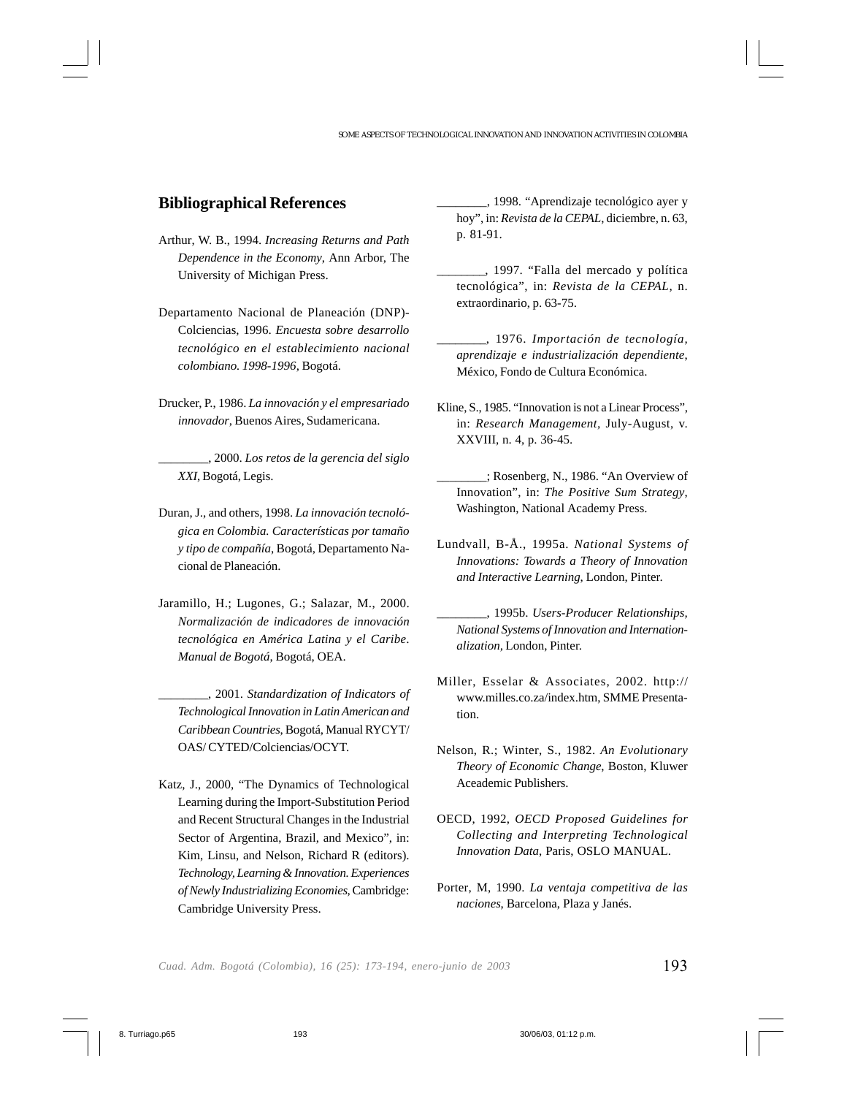### **Bibliographical References**

- Arthur, W. B., 1994. *Increasing Returns and Path Dependence in the Economy*, Ann Arbor, The University of Michigan Press.
- Departamento Nacional de Planeación (DNP)- Colciencias, 1996. *Encuesta sobre desarrollo tecnológico en el establecimiento nacional colombiano. 1998-1996*, Bogotá.
- Drucker, P., 1986. *La innovación y el empresariado innovador*, Buenos Aires, Sudamericana.

\_\_\_\_\_\_\_\_, 2000. *Los retos de la gerencia del siglo XXI*, Bogotá, Legis.

- Duran, J., and others, 1998. *La innovación tecnológica en Colombia. Características por tamaño y tipo de compañía*, Bogotá, Departamento Nacional de Planeación.
- Jaramillo, H.; Lugones, G.; Salazar, M., 2000. *Normalización de indicadores de innovación tecnológica en América Latina y el Caribe*. *Manual de Bogotá*, Bogotá, OEA.
	- \_\_\_\_\_\_\_\_, 2001. *Standardization of Indicators of Technological Innovation in Latin American and Caribbean Countries*, Bogotá, Manual RYCYT/ OAS/ CYTED/Colciencias/OCYT.
- Katz, J., 2000, "The Dynamics of Technological Learning during the Import-Substitution Period and Recent Structural Changes in the Industrial Sector of Argentina, Brazil, and Mexico", in: Kim, Linsu, and Nelson, Richard R (editors). *Technology, Learning & Innovation. Experiences of Newly Industrializing Economies*, Cambridge: Cambridge University Press.

\_\_\_\_\_\_\_\_, 1998. "Aprendizaje tecnológico ayer y hoy", in: *Revista de la CEPAL*, diciembre, n. 63, p. 81-91.

- \_\_\_\_\_\_\_\_, 1997. "Falla del mercado y política tecnológica", in: *Revista de la CEPAL,* n. extraordinario, p. 63-75.
- \_\_\_\_\_\_\_\_, 1976. *Importación de tecnología, aprendizaje e industrialización dependiente*, México, Fondo de Cultura Económica.
- Kline, S., 1985. "Innovation is not a Linear Process", in: *Research Management,* July-August, v. XXVIII, n. 4, p. 36-45.
- \_\_\_\_\_\_\_\_; Rosenberg, N., 1986. "An Overview of Innovation", in: *The Positive Sum Strategy*, Washington, National Academy Press.
- Lundvall, B-Å., 1995a. *National Systems of Innovations: Towards a Theory of Innovation and Interactive Learning*, London, Pinter.
- \_\_\_\_\_\_\_\_, 1995b. *Users-Producer Relationships, National Systems of Innovation and Internationalization,* London, Pinter.
- Miller, Esselar & Associates, 2002. http:// www.milles.co.za/index.htm, SMME Presentation.
- Nelson, R.; Winter, S., 1982. *An Evolutionary Theory of Economic Change*, Boston, Kluwer Aceademic Publishers.
- OECD, 1992, *OECD Proposed Guidelines for Collecting and Interpreting Technological Innovation Data*, Paris, OSLO MANUAL.
- Porter, M, 1990. *La ventaja competitiva de las naciones*, Barcelona, Plaza y Janés.